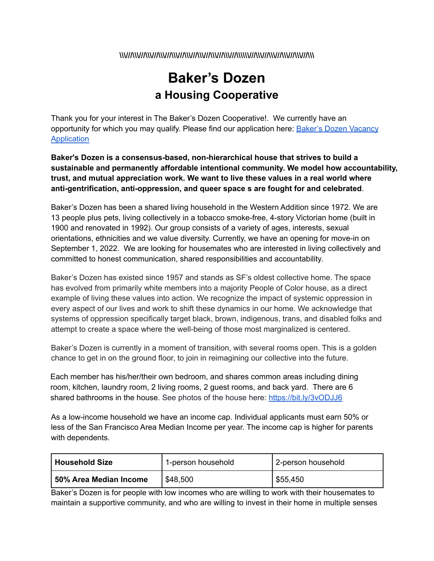#### \\\//\\\//\\\//\\\//\\\//\\\//\\\//\\\//\\\//\\\//\\\//\\\//\\\//\\\//\\\//\\\//\\\/

# **Baker's Dozen a Housing Cooperative**

Thank you for your interest in The Baker's Dozen Cooperative!. We currently have an opportunity for which you may qualify. Please find our application here: **Baker's Dozen [Vacancy](https://www.tfaforms.com/4908206)** [Application](https://www.tfaforms.com/4908206)

**Baker's Dozen is a consensus-based, non-hierarchical house that strives to build a sustainable and permanently affordable intentional community. We model how accountability, trust, and mutual appreciation work. We want to live these values in a real world where anti-gentrification, anti-oppression, and queer space s are fought for and celebrated**.

Baker's Dozen has been a shared living household in the Western Addition since 1972. We are 13 people plus pets, living collectively in a tobacco smoke-free, 4-story Victorian home (built in 1900 and renovated in 1992). Our group consists of a variety of ages, interests, sexual orientations, ethnicities and we value diversity. Currently, we have an opening for move-in on September 1, 2022. We are looking for housemates who are interested in living collectively and committed to honest communication, shared responsibilities and accountability.

Baker's Dozen has existed since 1957 and stands as SF's oldest collective home. The space has evolved from primarily white members into a majority People of Color house, as a direct example of living these values into action. We recognize the impact of systemic oppression in every aspect of our lives and work to shift these dynamics in our home. We acknowledge that systems of oppression specifically target black, brown, indigenous, trans, and disabled folks and attempt to create a space where the well-being of those most marginalized is centered.

Baker's Dozen is currently in a moment of transition, with several rooms open. This is a golden chance to get in on the ground floor, to join in reimagining our collective into the future.

Each member has his/her/their own bedroom, and shares common areas including dining room, kitchen, laundry room, 2 living rooms, 2 guest rooms, and back yard. There are 6 shared bathrooms in the house. See photos of the house here: <https://bit.ly/3vODJJ6>

As a low-income household we have an income cap. Individual applicants must earn 50% or less of the San Francisco Area Median Income per year. The income cap is higher for parents with dependents.

| l Household Size       | 1-person household | 2-person household |
|------------------------|--------------------|--------------------|
| 50% Area Median Income | \$48,500           | \$55,450           |

Baker's Dozen is for people with low incomes who are willing to work with their housemates to maintain a supportive community, and who are willing to invest in their home in multiple senses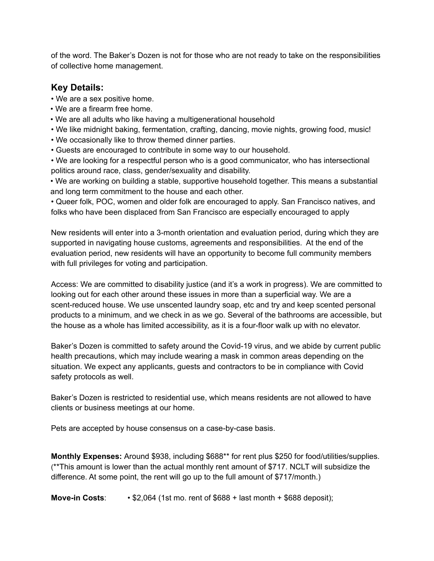of the word. The Baker's Dozen is not for those who are not ready to take on the responsibilities of collective home management.

### **Key Details:**

- We are a sex positive home.
- We are a firearm free home.
- We are all adults who like having a multigenerational household
- We like midnight baking, fermentation, crafting, dancing, movie nights, growing food, music!
- We occasionally like to throw themed dinner parties.
- Guests are encouraged to contribute in some way to our household.

• We are looking for a respectful person who is a good communicator, who has intersectional politics around race, class, gender/sexuality and disability.

• We are working on building a stable, supportive household together. This means a substantial and long term commitment to the house and each other.

• Queer folk, POC, women and older folk are encouraged to apply. San Francisco natives, and folks who have been displaced from San Francisco are especially encouraged to apply

New residents will enter into a 3-month orientation and evaluation period, during which they are supported in navigating house customs, agreements and responsibilities. At the end of the evaluation period, new residents will have an opportunity to become full community members with full privileges for voting and participation.

Access: We are committed to disability justice (and it's a work in progress). We are committed to looking out for each other around these issues in more than a superficial way. We are a scent-reduced house. We use unscented laundry soap, etc and try and keep scented personal products to a minimum, and we check in as we go. Several of the bathrooms are accessible, but the house as a whole has limited accessibility, as it is a four-floor walk up with no elevator.

Baker's Dozen is committed to safety around the Covid-19 virus, and we abide by current public health precautions, which may include wearing a mask in common areas depending on the situation. We expect any applicants, guests and contractors to be in compliance with Covid safety protocols as well.

Baker's Dozen is restricted to residential use, which means residents are not allowed to have clients or business meetings at our home.

Pets are accepted by house consensus on a case-by-case basis.

**Monthly Expenses:** Around \$938, including \$688\*\* for rent plus \$250 for food/utilities/supplies. (\*\*This amount is lower than the actual monthly rent amount of \$717. NCLT will subsidize the difference. At some point, the rent will go up to the full amount of \$717/month.)

**Move-in Costs**: • \$2,064 (1st mo. rent of \$688 + last month + \$688 deposit);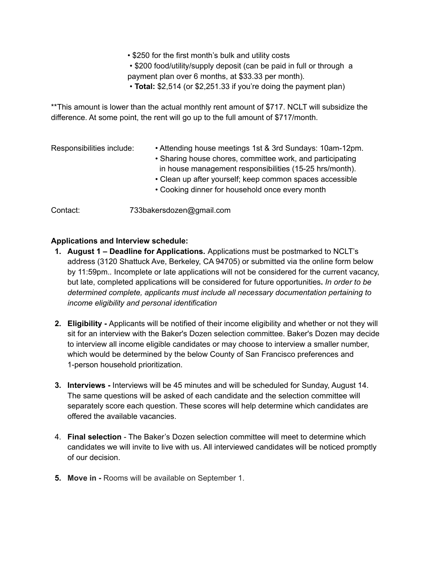• \$250 for the first month's bulk and utility costs

• \$200 food/utility/supply deposit (can be paid in full or through a payment plan over 6 months, at \$33.33 per month).

• **Total:** \$2,514 (or \$2,251.33 if you're doing the payment plan)

\*\*This amount is lower than the actual monthly rent amount of \$717. NCLT will subsidize the difference. At some point, the rent will go up to the full amount of \$717/month.

| Responsibilities include: | • Attending house meetings 1st & 3rd Sundays: 10am-12pm.<br>• Sharing house chores, committee work, and participating<br>in house management responsibilities (15-25 hrs/month).<br>• Clean up after yourself; keep common spaces accessible<br>• Cooking dinner for household once every month |
|---------------------------|-------------------------------------------------------------------------------------------------------------------------------------------------------------------------------------------------------------------------------------------------------------------------------------------------|
| Contact:                  | 733bakersdozen@gmail.com                                                                                                                                                                                                                                                                        |

#### **Applications and Interview schedule:**

- **1. August 1 – Deadline for Applications.** Applications must be postmarked to NCLT's address (3120 Shattuck Ave, Berkeley, CA 94705) or submitted via the online form below by 11:59pm.*.* Incomplete or late applications will not be considered for the current vacancy, but late, completed applications will be considered for future opportunities**.** *In order to be determined complete, applicants must include all necessary documentation pertaining to income eligibility and personal identification*
- **2. Eligibility -** Applicants will be notified of their income eligibility and whether or not they will sit for an interview with the Baker's Dozen selection committee. Baker's Dozen may decide to interview all income eligible candidates or may choose to interview a smaller number, which would be determined by the below County of San Francisco preferences and 1-person household prioritization.
- **3. Interviews -** Interviews will be 45 minutes and will be scheduled for Sunday, August 14. The same questions will be asked of each candidate and the selection committee will separately score each question. These scores will help determine which candidates are offered the available vacancies.
- 4. **Final selection** The Baker's Dozen selection committee will meet to determine which candidates we will invite to live with us. All interviewed candidates will be noticed promptly of our decision.
- **5. Move in -** Rooms will be available on September 1.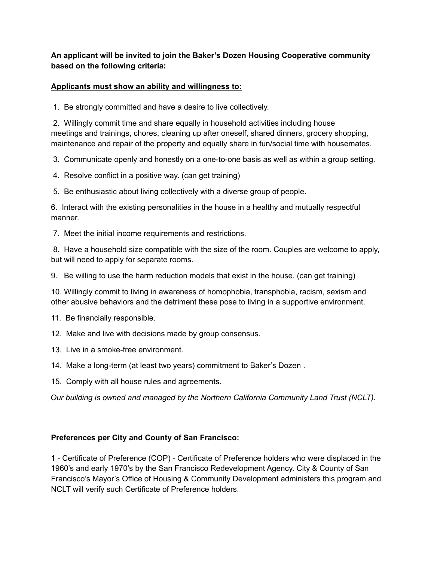#### **An applicant will be invited to join the Baker's Dozen Housing Cooperative community based on the following criteria:**

#### **Applicants must show an ability and willingness to:**

1. Be strongly committed and have a desire to live collectively.

2. Willingly commit time and share equally in household activities including house meetings and trainings, chores, cleaning up after oneself, shared dinners, grocery shopping, maintenance and repair of the property and equally share in fun/social time with housemates.

3. Communicate openly and honestly on a one-to-one basis as well as within a group setting.

- 4. Resolve conflict in a positive way. (can get training)
- 5. Be enthusiastic about living collectively with a diverse group of people.

6. Interact with the existing personalities in the house in a healthy and mutually respectful manner.

7. Meet the initial income requirements and restrictions.

8. Have a household size compatible with the size of the room. Couples are welcome to apply, but will need to apply for separate rooms.

9. Be willing to use the harm reduction models that exist in the house. (can get training)

10. Willingly commit to living in awareness of homophobia, transphobia, racism, sexism and other abusive behaviors and the detriment these pose to living in a supportive environment.

11. Be financially responsible.

- 12. Make and live with decisions made by group consensus.
- 13. Live in a smoke-free environment.
- 14. Make a long-term (at least two years) commitment to Baker's Dozen .
- 15. Comply with all house rules and agreements.

*Our building is owned and managed by the Northern California Community Land Trust (NCLT).*

#### **Preferences per City and County of San Francisco:**

1 - Certificate of Preference (COP) - Certificate of Preference holders who were displaced in the 1960's and early 1970's by the San Francisco Redevelopment Agency. City & County of San Francisco's Mayor's Office of Housing & Community Development administers this program and NCLT will verify such Certificate of Preference holders.